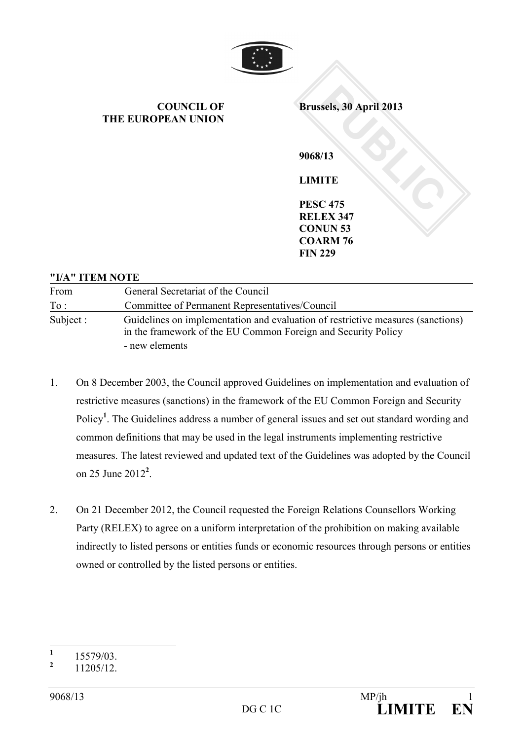

**COUNCIL OF THE EUROPEAN UNION** 

**PUBLIC 13**<br> **PUBLIC 13**<br> **PUBLIC 1475**<br> **PUBLIC 475**<br> **PUBLIC 1475**<br> **PUBLIC 1475 Brussels, 30 April 2013** 

**9068/13 LIMITE** 

**PESC 475 RELEX 347 CONUN 53 COARM 76 FIN 229** 

#### **"I/A" ITEM OTE**

| From      | General Secretariat of the Council                                                                                                               |
|-----------|--------------------------------------------------------------------------------------------------------------------------------------------------|
| To:       | Committee of Permanent Representatives/Council                                                                                                   |
| Subject : | Guidelines on implementation and evaluation of restrictive measures (sanctions)<br>in the framework of the EU Common Foreign and Security Policy |
|           | - new elements                                                                                                                                   |

- 1. On 8 December 2003, the Council approved Guidelines on implementation and evaluation of restrictive measures (sanctions) in the framework of the EU Common Foreign and Security Policy<sup>1</sup>. The Guidelines address a number of general issues and set out standard wording and common definitions that may be used in the legal instruments implementing restrictive measures. The latest reviewed and updated text of the Guidelines was adopted by the Council on 25 June 2012**<sup>2</sup>** .
- 2. On 21 December 2012, the Council requested the Foreign Relations Counsellors Working Party (RELEX) to agree on a uniform interpretation of the prohibition on making available indirectly to listed persons or entities funds or economic resources through persons or entities owned or controlled by the listed persons or entities.

 **1** 15579/03.

**<sup>2</sup>** 11205/12.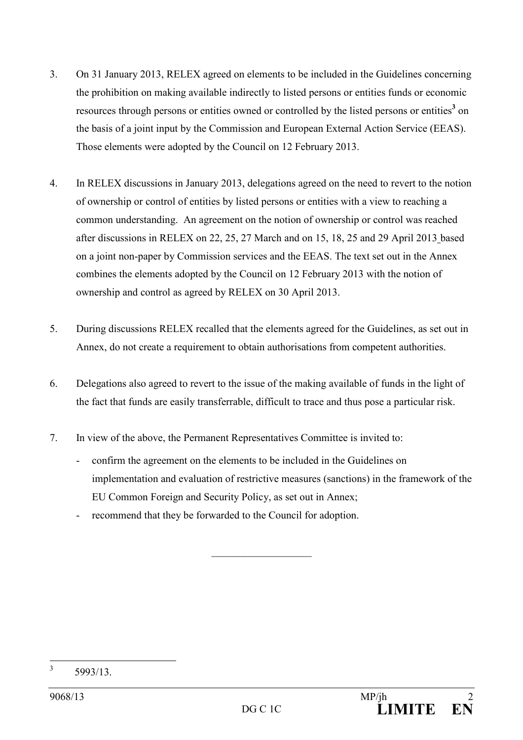- 3. On 31 January 2013, RELEX agreed on elements to be included in the Guidelines concerning the prohibition on making available indirectly to listed persons or entities funds or economic resources through persons or entities owned or controlled by the listed persons or entities<sup>3</sup> on the basis of a joint input by the Commission and European External Action Service (EEAS). Those elements were adopted by the Council on 12 February 2013.
- 4. In RELEX discussions in January 2013, delegations agreed on the need to revert to the notion of ownership or control of entities by listed persons or entities with a view to reaching a common understanding. An agreement on the notion of ownership or control was reached after discussions in RELEX on 22, 25, 27 March and on 15, 18, 25 and 29 April 2013 based on a joint non-paper by Commission services and the EEAS. The text set out in the Annex combines the elements adopted by the Council on 12 February 2013 with the notion of ownership and control as agreed by RELEX on 30 April 2013.
- 5. During discussions RELEX recalled that the elements agreed for the Guidelines, as set out in Annex, do not create a requirement to obtain authorisations from competent authorities.
- 6. Delegations also agreed to revert to the issue of the making available of funds in the light of the fact that funds are easily transferrable, difficult to trace and thus pose a particular risk.
- 7. In view of the above, the Permanent Representatives Committee is invited to:
	- confirm the agreement on the elements to be included in the Guidelines on implementation and evaluation of restrictive measures (sanctions) in the framework of the EU Common Foreign and Security Policy, as set out in Annex;

 $\mathcal{L}$  , we have the set of the set of the set of the set of the set of the set of the set of the set of the set of the set of the set of the set of the set of the set of the set of the set of the set of the set of the

recommend that they be forwarded to the Council for adoption.

 3 5993/13.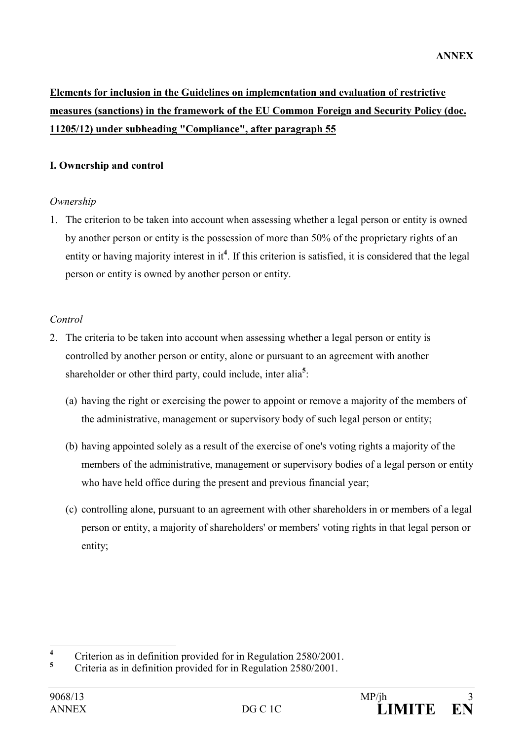# **Elements for inclusion in the Guidelines on implementation and evaluation of restrictive measures (sanctions) in the framework of the EU Common Foreign and Security Policy (doc. 11205/12) under subheading "Compliance", after paragraph 55**

## **I. Ownership and control**

### *Ownership*

1. The criterion to be taken into account when assessing whether a legal person or entity is owned by another person or entity is the possession of more than 50% of the proprietary rights of an entity or having majority interest in it<sup>4</sup>. If this criterion is satisfied, it is considered that the legal person or entity is owned by another person or entity.

### *Control*

- 2. The criteria to be taken into account when assessing whether a legal person or entity is controlled by another person or entity, alone or pursuant to an agreement with another shareholder or other third party, could include, inter alia**<sup>5</sup>** :
	- (a) having the right or exercising the power to appoint or remove a majority of the members of the administrative, management or supervisory body of such legal person or entity;
	- (b) having appointed solely as a result of the exercise of one's voting rights a majority of the members of the administrative, management or supervisory bodies of a legal person or entity who have held office during the present and previous financial year;
	- (c) controlling alone, pursuant to an agreement with other shareholders in or members of a legal person or entity, a majority of shareholders' or members' voting rights in that legal person or entity;

 **4** Criterion as in definition provided for in Regulation 2580/2001.

**<sup>5</sup>** Criteria as in definition provided for in Regulation 2580/2001.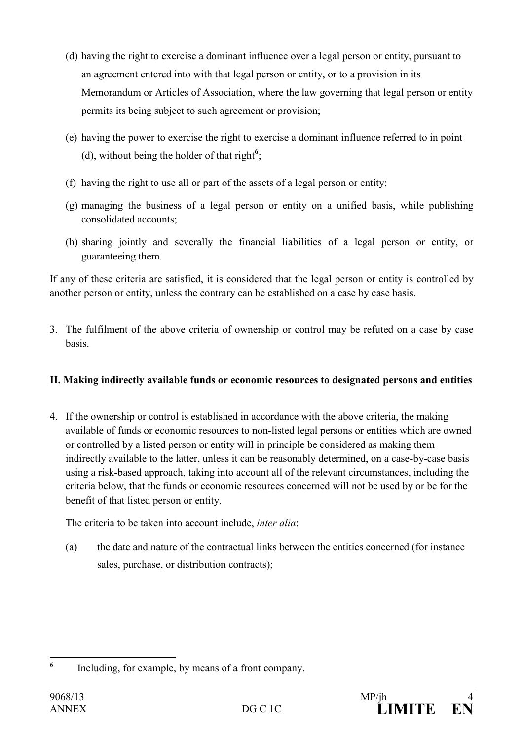- (d) having the right to exercise a dominant influence over a legal person or entity, pursuant to an agreement entered into with that legal person or entity, or to a provision in its Memorandum or Articles of Association, where the law governing that legal person or entity permits its being subject to such agreement or provision;
- (e) having the power to exercise the right to exercise a dominant influence referred to in point (d), without being the holder of that right**<sup>6</sup>** ;
- (f) having the right to use all or part of the assets of a legal person or entity;
- (g) managing the business of a legal person or entity on a unified basis, while publishing consolidated accounts;
- (h) sharing jointly and severally the financial liabilities of a legal person or entity, or guaranteeing them.

If any of these criteria are satisfied, it is considered that the legal person or entity is controlled by another person or entity, unless the contrary can be established on a case by case basis.

3. The fulfilment of the above criteria of ownership or control may be refuted on a case by case basis.

# **II. Making indirectly available funds or economic resources to designated persons and entities**

4. If the ownership or control is established in accordance with the above criteria, the making available of funds or economic resources to non-listed legal persons or entities which are owned or controlled by a listed person or entity will in principle be considered as making them indirectly available to the latter, unless it can be reasonably determined, on a case-by-case basis using a risk-based approach, taking into account all of the relevant circumstances, including the criteria below, that the funds or economic resources concerned will not be used by or be for the benefit of that listed person or entity.

The criteria to be taken into account include, *inter alia*:

(a) the date and nature of the contractual links between the entities concerned (for instance sales, purchase, or distribution contracts);

 **6** Including, for example, by means of a front company.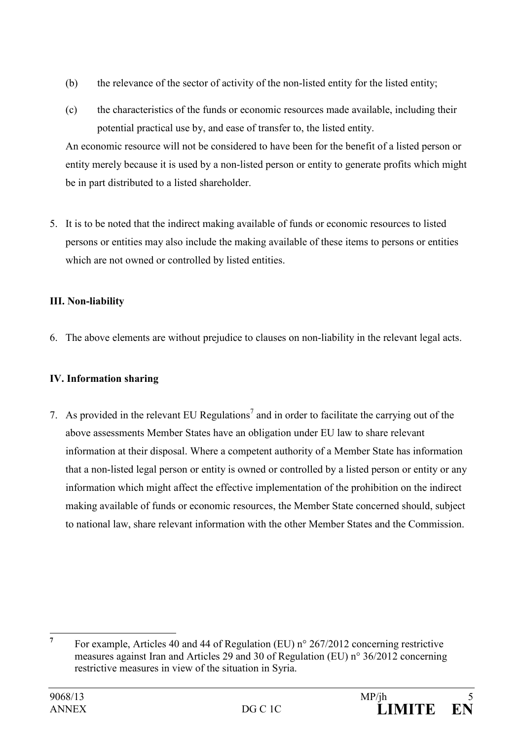- (b) the relevance of the sector of activity of the non-listed entity for the listed entity;
- (c) the characteristics of the funds or economic resources made available, including their potential practical use by, and ease of transfer to, the listed entity.

An economic resource will not be considered to have been for the benefit of a listed person or entity merely because it is used by a non-listed person or entity to generate profits which might be in part distributed to a listed shareholder.

5. It is to be noted that the indirect making available of funds or economic resources to listed persons or entities may also include the making available of these items to persons or entities which are not owned or controlled by listed entities.

# **III. Non-liability**

6. The above elements are without prejudice to clauses on non-liability in the relevant legal acts.

# **IV. Information sharing**

7. As provided in the relevant EU Regulations<sup>7</sup> and in order to facilitate the carrying out of the above assessments Member States have an obligation under EU law to share relevant information at their disposal. Where a competent authority of a Member State has information that a non-listed legal person or entity is owned or controlled by a listed person or entity or any information which might affect the effective implementation of the prohibition on the indirect making available of funds or economic resources, the Member State concerned should, subject to national law, share relevant information with the other Member States and the Commission.

 **7** For example, Articles 40 and 44 of Regulation (EU) n° 267/2012 concerning restrictive measures against Iran and Articles 29 and 30 of Regulation (EU) n° 36/2012 concerning restrictive measures in view of the situation in Syria.